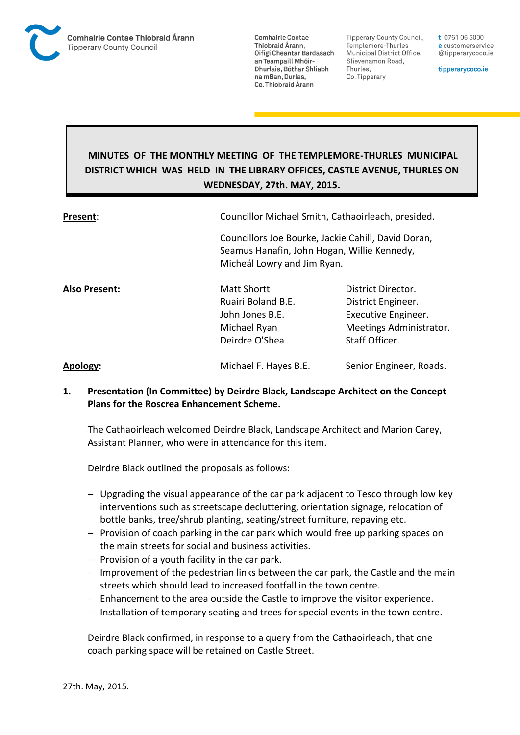

**Tipperary County Council,** Templemore-Thurles Municipal District Office, Slievenamon Road, Thurles, Co. Tipperary

t 0761 06 5000 e customerservice @tipperarycoco.ie

tipperarycoco.ie

# **MINUTES OF THE MONTHLY MEETING OF THE TEMPLEMORE-THURLES MUNICIPAL DISTRICT WHICH WAS HELD IN THE LIBRARY OFFICES, CASTLE AVENUE, THURLES ON WEDNESDAY, 27th. MAY, 2015.**

| Present:             | Councillor Michael Smith, Cathaoirleach, presided.<br>Councillors Joe Bourke, Jackie Cahill, David Doran,<br>Seamus Hanafin, John Hogan, Willie Kennedy,<br>Micheál Lowry and Jim Ryan. |                                                                                                              |  |
|----------------------|-----------------------------------------------------------------------------------------------------------------------------------------------------------------------------------------|--------------------------------------------------------------------------------------------------------------|--|
|                      |                                                                                                                                                                                         |                                                                                                              |  |
| <b>Also Present:</b> | Matt Shortt<br>Ruairi Boland B.E.<br>John Jones B.E.<br>Michael Ryan<br>Deirdre O'Shea                                                                                                  | District Director.<br>District Engineer.<br>Executive Engineer.<br>Meetings Administrator.<br>Staff Officer. |  |
| Apology:             | Michael F. Hayes B.E.                                                                                                                                                                   | Senior Engineer, Roads.                                                                                      |  |

## **1. Presentation (In Committee) by Deirdre Black, Landscape Architect on the Concept Plans for the Roscrea Enhancement Scheme.**

The Cathaoirleach welcomed Deirdre Black, Landscape Architect and Marion Carey, Assistant Planner, who were in attendance for this item.

Deirdre Black outlined the proposals as follows:

- Upgrading the visual appearance of the car park adjacent to Tesco through low key interventions such as streetscape decluttering, orientation signage, relocation of bottle banks, tree/shrub planting, seating/street furniture, repaving etc.
- $P$  Provision of coach parking in the car park which would free up parking spaces on the main streets for social and business activities.
- $-$  Provision of a youth facility in the car park.
- $-$  Improvement of the pedestrian links between the car park, the Castle and the main streets which should lead to increased footfall in the town centre.
- Enhancement to the area outside the Castle to improve the visitor experience.
- $-$  Installation of temporary seating and trees for special events in the town centre.

Deirdre Black confirmed, in response to a query from the Cathaoirleach, that one coach parking space will be retained on Castle Street.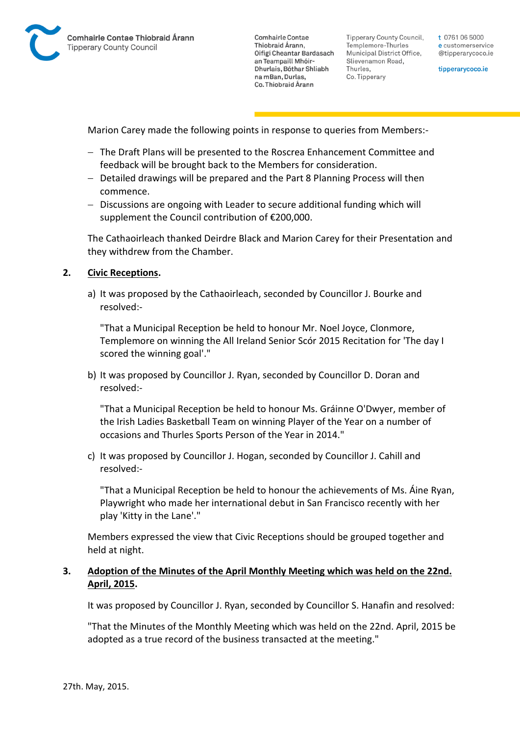

**Tipperary County Council,** Templemore-Thurles Municipal District Office, Slievenamon Road, Thurles, Co. Tipperary

t 0761 06 5000 e customerservice @tipperarycoco.ie

tipperarycoco.ie

Marion Carey made the following points in response to queries from Members:-

- The Draft Plans will be presented to the Roscrea Enhancement Committee and feedback will be brought back to the Members for consideration.
- Detailed drawings will be prepared and the Part 8 Planning Process will then commence.
- Discussions are ongoing with Leader to secure additional funding which will supplement the Council contribution of €200,000.

The Cathaoirleach thanked Deirdre Black and Marion Carey for their Presentation and they withdrew from the Chamber.

#### **2. Civic Receptions.**

a) It was proposed by the Cathaoirleach, seconded by Councillor J. Bourke and resolved:-

"That a Municipal Reception be held to honour Mr. Noel Joyce, Clonmore, Templemore on winning the All Ireland Senior Scór 2015 Recitation for 'The day I scored the winning goal'."

b) It was proposed by Councillor J. Ryan, seconded by Councillor D. Doran and resolved:-

"That a Municipal Reception be held to honour Ms. Gráinne O'Dwyer, member of the Irish Ladies Basketball Team on winning Player of the Year on a number of occasions and Thurles Sports Person of the Year in 2014."

c) It was proposed by Councillor J. Hogan, seconded by Councillor J. Cahill and resolved:-

"That a Municipal Reception be held to honour the achievements of Ms. Áine Ryan, Playwright who made her international debut in San Francisco recently with her play 'Kitty in the Lane'."

Members expressed the view that Civic Receptions should be grouped together and held at night.

### **3. Adoption of the Minutes of the April Monthly Meeting which was held on the 22nd. April, 2015.**

It was proposed by Councillor J. Ryan, seconded by Councillor S. Hanafin and resolved:

"That the Minutes of the Monthly Meeting which was held on the 22nd. April, 2015 be adopted as a true record of the business transacted at the meeting."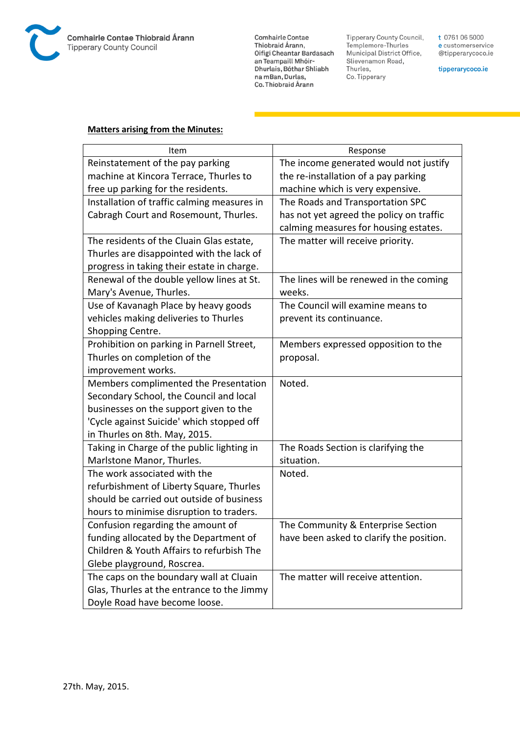

Comhairle Contae Commante Contae<br>Thiobraid Árann,<br>Oifigí Cheantar Bardasach an Teampaill Mhóir-<br>Dhurlais, Bóthar Shliabh na mBan, Durlas,<br>Co. Thiobraid Árann

Tipperary County Council,<br>Templemore-Thurles<br>Municipal District Office, Slievenamon Road, Thurles, Co. Tipperary

t 0761 06 5000 e customerservice @tipperarycoco.ie

tipperarycoco.ie

### **Matters arising from the Minutes:**

| Item                                        | Response                                 |
|---------------------------------------------|------------------------------------------|
| Reinstatement of the pay parking            | The income generated would not justify   |
| machine at Kincora Terrace, Thurles to      | the re-installation of a pay parking     |
| free up parking for the residents.          | machine which is very expensive.         |
| Installation of traffic calming measures in | The Roads and Transportation SPC         |
| Cabragh Court and Rosemount, Thurles.       | has not yet agreed the policy on traffic |
|                                             | calming measures for housing estates.    |
| The residents of the Cluain Glas estate,    | The matter will receive priority.        |
| Thurles are disappointed with the lack of   |                                          |
| progress in taking their estate in charge.  |                                          |
| Renewal of the double yellow lines at St.   | The lines will be renewed in the coming  |
| Mary's Avenue, Thurles.                     | weeks.                                   |
| Use of Kavanagh Place by heavy goods        | The Council will examine means to        |
| vehicles making deliveries to Thurles       | prevent its continuance.                 |
| Shopping Centre.                            |                                          |
| Prohibition on parking in Parnell Street,   | Members expressed opposition to the      |
| Thurles on completion of the                | proposal.                                |
| improvement works.                          |                                          |
| Members complimented the Presentation       | Noted.                                   |
| Secondary School, the Council and local     |                                          |
| businesses on the support given to the      |                                          |
| 'Cycle against Suicide' which stopped off   |                                          |
| in Thurles on 8th. May, 2015.               |                                          |
| Taking in Charge of the public lighting in  | The Roads Section is clarifying the      |
| Marlstone Manor, Thurles.                   | situation.                               |
| The work associated with the                | Noted.                                   |
| refurbishment of Liberty Square, Thurles    |                                          |
| should be carried out outside of business   |                                          |
| hours to minimise disruption to traders.    |                                          |
| Confusion regarding the amount of           | The Community & Enterprise Section       |
| funding allocated by the Department of      | have been asked to clarify the position. |
| Children & Youth Affairs to refurbish The   |                                          |
| Glebe playground, Roscrea.                  |                                          |
| The caps on the boundary wall at Cluain     | The matter will receive attention.       |
| Glas, Thurles at the entrance to the Jimmy  |                                          |
| Doyle Road have become loose.               |                                          |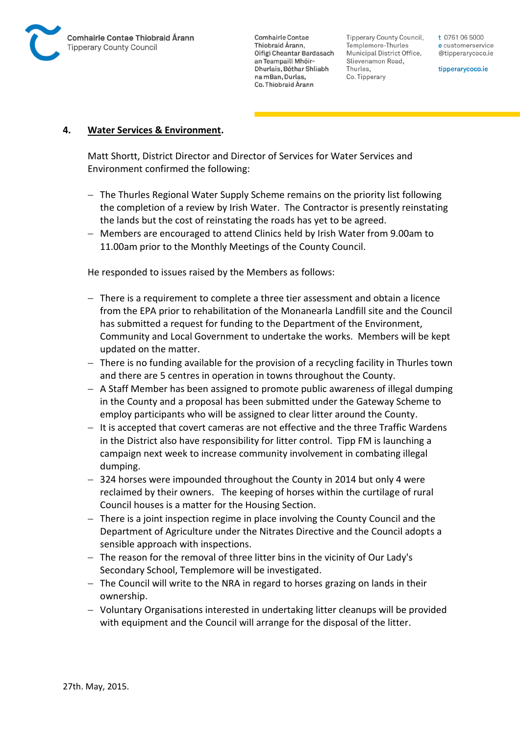

Tipperary County Council. Templemore-Thurles Municipal District Office, Slievenamon Road, Thurles, Co. Tipperary

t 0761 06 5000 e customerservice @tipperarycoco.ie

tipperarycoco.ie

#### **4. Water Services & Environment.**

Matt Shortt, District Director and Director of Services for Water Services and Environment confirmed the following:

- The Thurles Regional Water Supply Scheme remains on the priority list following the completion of a review by Irish Water. The Contractor is presently reinstating the lands but the cost of reinstating the roads has yet to be agreed.
- Members are encouraged to attend Clinics held by Irish Water from 9.00am to 11.00am prior to the Monthly Meetings of the County Council.

He responded to issues raised by the Members as follows:

- There is a requirement to complete a three tier assessment and obtain a licence from the EPA prior to rehabilitation of the Monanearla Landfill site and the Council has submitted a request for funding to the Department of the Environment, Community and Local Government to undertake the works. Members will be kept updated on the matter.
- $-$  There is no funding available for the provision of a recycling facility in Thurles town and there are 5 centres in operation in towns throughout the County.
- $-$  A Staff Member has been assigned to promote public awareness of illegal dumping in the County and a proposal has been submitted under the Gateway Scheme to employ participants who will be assigned to clear litter around the County.
- $-$  It is accepted that covert cameras are not effective and the three Traffic Wardens in the District also have responsibility for litter control. Tipp FM is launching a campaign next week to increase community involvement in combating illegal dumping.
- 324 horses were impounded throughout the County in 2014 but only 4 were reclaimed by their owners. The keeping of horses within the curtilage of rural Council houses is a matter for the Housing Section.
- $-$  There is a joint inspection regime in place involving the County Council and the Department of Agriculture under the Nitrates Directive and the Council adopts a sensible approach with inspections.
- The reason for the removal of three litter bins in the vicinity of Our Lady's Secondary School, Templemore will be investigated.
- $-$  The Council will write to the NRA in regard to horses grazing on lands in their ownership.
- Voluntary Organisations interested in undertaking litter cleanups will be provided with equipment and the Council will arrange for the disposal of the litter.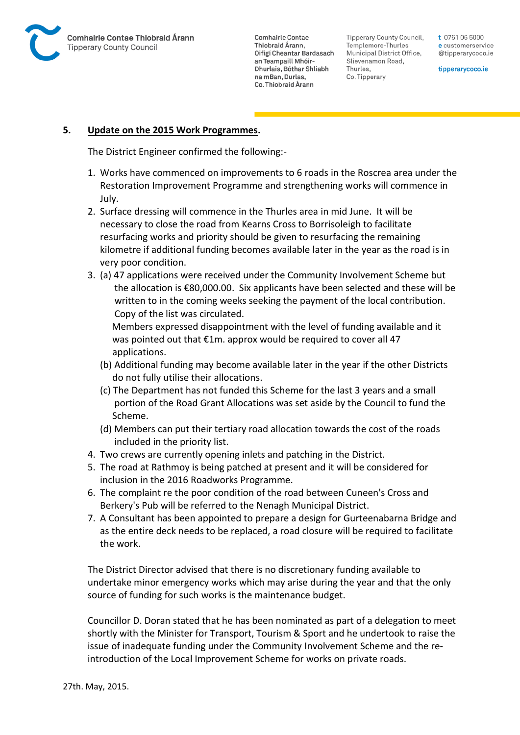

Tipperary County Council. Templemore-Thurles Municipal District Office, Slievenamon Road, Thurles, Co. Tipperary

t 0761 06 5000 e customerservice @tipperarycoco.ie

tipperarycoco.ie

#### **5. Update on the 2015 Work Programmes.**

The District Engineer confirmed the following:-

- 1. Works have commenced on improvements to 6 roads in the Roscrea area under the Restoration Improvement Programme and strengthening works will commence in July.
- 2. Surface dressing will commence in the Thurles area in mid June. It will be necessary to close the road from Kearns Cross to Borrisoleigh to facilitate resurfacing works and priority should be given to resurfacing the remaining kilometre if additional funding becomes available later in the year as the road is in very poor condition.
- 3. (a) 47 applications were received under the Community Involvement Scheme but the allocation is €80,000.00. Six applicants have been selected and these will be written to in the coming weeks seeking the payment of the local contribution. Copy of the list was circulated.

 Members expressed disappointment with the level of funding available and it was pointed out that €1m. approx would be required to cover all 47 applications.

- (b) Additional funding may become available later in the year if the other Districts do not fully utilise their allocations.
- (c) The Department has not funded this Scheme for the last 3 years and a small portion of the Road Grant Allocations was set aside by the Council to fund the Scheme.
- (d) Members can put their tertiary road allocation towards the cost of the roads included in the priority list.
- 4. Two crews are currently opening inlets and patching in the District.
- 5. The road at Rathmoy is being patched at present and it will be considered for inclusion in the 2016 Roadworks Programme.
- 6. The complaint re the poor condition of the road between Cuneen's Cross and Berkery's Pub will be referred to the Nenagh Municipal District.
- 7. A Consultant has been appointed to prepare a design for Gurteenabarna Bridge and as the entire deck needs to be replaced, a road closure will be required to facilitate the work.

The District Director advised that there is no discretionary funding available to undertake minor emergency works which may arise during the year and that the only source of funding for such works is the maintenance budget.

Councillor D. Doran stated that he has been nominated as part of a delegation to meet shortly with the Minister for Transport, Tourism & Sport and he undertook to raise the issue of inadequate funding under the Community Involvement Scheme and the reintroduction of the Local Improvement Scheme for works on private roads.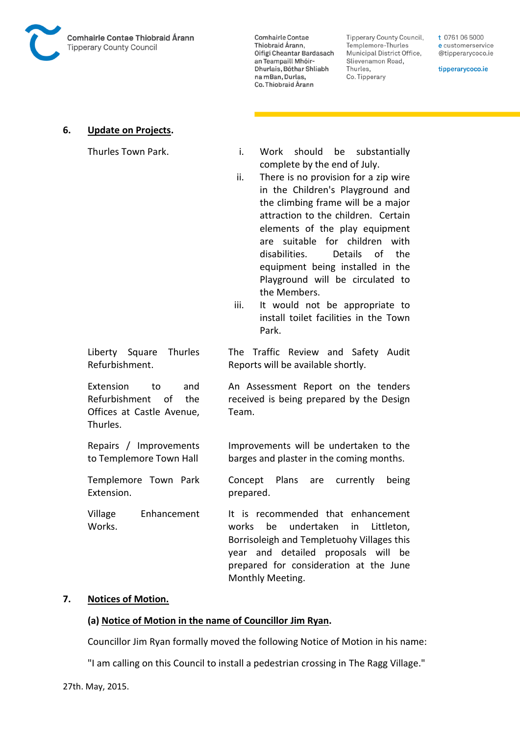

**Tipperary County Council,** Templemore-Thurles Municipal District Office, Slievenamon Road, Thurles, Co. Tipperary

t 0761 06 5000 e customerservice @tipperarycoco.ie

tipperarycoco.ie

#### **6. Update on Projects.**

- Thurles Town Park. Thurles Town Park. Thurles Town Park. complete by the end of July.
	- ii. There is no provision for a zip wire in the Children's Playground and the climbing frame will be a major attraction to the children. Certain elements of the play equipment are suitable for children with disabilities. Details of the equipment being installed in the Playground will be circulated to the Members.
	- iii. It would not be appropriate to install toilet facilities in the Town Park.

The Traffic Review and Safety Audit

Reports will be available shortly.

Liberty Square Thurles Refurbishment.

Extension to and Refurbishment of the Offices at Castle Avenue, Thurles.

Repairs / Improvements to Templemore Town Hall

Templemore Town Park Extension.

Village Enhancement Works.

An Assessment Report on the tenders received is being prepared by the Design Team.

Improvements will be undertaken to the barges and plaster in the coming months.

Concept Plans are currently being prepared.

It is recommended that enhancement works be undertaken in Littleton, Borrisoleigh and Templetuohy Villages this year and detailed proposals will be prepared for consideration at the June Monthly Meeting.

#### **7. Notices of Motion.**

#### **(a) Notice of Motion in the name of Councillor Jim Ryan.**

Councillor Jim Ryan formally moved the following Notice of Motion in his name:

"I am calling on this Council to install a pedestrian crossing in The Ragg Village."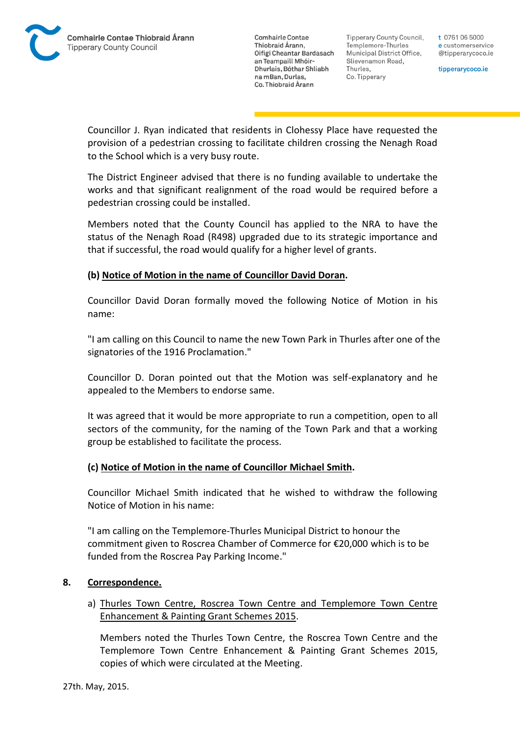

Tipperary County Council. Templemore-Thurles Municipal District Office, Slievenamon Road, Thurles, Co. Tipperary

t 0761 06 5000 e customerservice @tipperarycoco.ie

tipperarycoco.ie

Councillor J. Ryan indicated that residents in Clohessy Place have requested the provision of a pedestrian crossing to facilitate children crossing the Nenagh Road to the School which is a very busy route.

The District Engineer advised that there is no funding available to undertake the works and that significant realignment of the road would be required before a pedestrian crossing could be installed.

Members noted that the County Council has applied to the NRA to have the status of the Nenagh Road (R498) upgraded due to its strategic importance and that if successful, the road would qualify for a higher level of grants.

### **(b) Notice of Motion in the name of Councillor David Doran.**

Councillor David Doran formally moved the following Notice of Motion in his name:

"I am calling on this Council to name the new Town Park in Thurles after one of the signatories of the 1916 Proclamation."

Councillor D. Doran pointed out that the Motion was self-explanatory and he appealed to the Members to endorse same.

It was agreed that it would be more appropriate to run a competition, open to all sectors of the community, for the naming of the Town Park and that a working group be established to facilitate the process.

#### **(c) Notice of Motion in the name of Councillor Michael Smith.**

Councillor Michael Smith indicated that he wished to withdraw the following Notice of Motion in his name:

"I am calling on the Templemore-Thurles Municipal District to honour the commitment given to Roscrea Chamber of Commerce for €20,000 which is to be funded from the Roscrea Pay Parking Income."

#### **8. Correspondence.**

a) Thurles Town Centre, Roscrea Town Centre and Templemore Town Centre Enhancement & Painting Grant Schemes 2015.

Members noted the Thurles Town Centre, the Roscrea Town Centre and the Templemore Town Centre Enhancement & Painting Grant Schemes 2015, copies of which were circulated at the Meeting.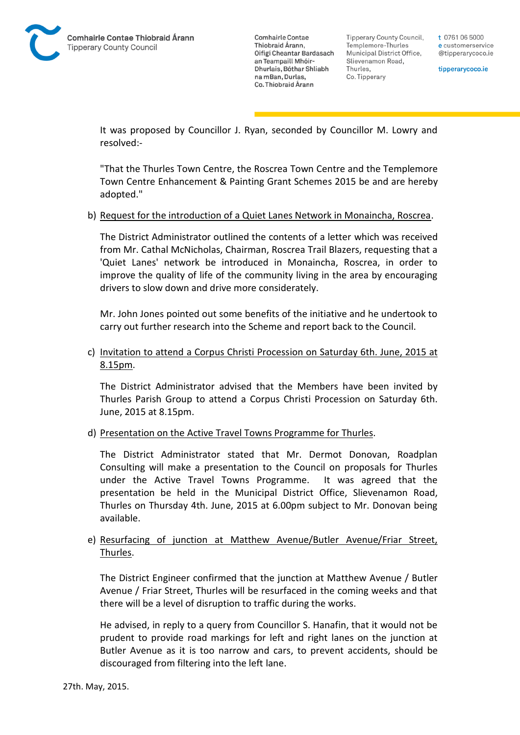Tipperary County Council. Templemore-Thurles Municipal District Office, Slievenamon Road, Thurles, Co. Tipperary

t 0761 06 5000 e customerservice @tipperarycoco.ie

tipperarycoco.ie

It was proposed by Councillor J. Ryan, seconded by Councillor M. Lowry and resolved:-

"That the Thurles Town Centre, the Roscrea Town Centre and the Templemore Town Centre Enhancement & Painting Grant Schemes 2015 be and are hereby adopted."

#### b) Request for the introduction of a Quiet Lanes Network in Monaincha, Roscrea.

The District Administrator outlined the contents of a letter which was received from Mr. Cathal McNicholas, Chairman, Roscrea Trail Blazers, requesting that a 'Quiet Lanes' network be introduced in Monaincha, Roscrea, in order to improve the quality of life of the community living in the area by encouraging drivers to slow down and drive more considerately.

Mr. John Jones pointed out some benefits of the initiative and he undertook to carry out further research into the Scheme and report back to the Council.

### c) Invitation to attend a Corpus Christi Procession on Saturday 6th. June, 2015 at 8.15pm.

The District Administrator advised that the Members have been invited by Thurles Parish Group to attend a Corpus Christi Procession on Saturday 6th. June, 2015 at 8.15pm.

#### d) Presentation on the Active Travel Towns Programme for Thurles.

The District Administrator stated that Mr. Dermot Donovan, Roadplan Consulting will make a presentation to the Council on proposals for Thurles under the Active Travel Towns Programme. It was agreed that the presentation be held in the Municipal District Office, Slievenamon Road, Thurles on Thursday 4th. June, 2015 at 6.00pm subject to Mr. Donovan being available.

## e) Resurfacing of junction at Matthew Avenue/Butler Avenue/Friar Street, Thurles.

The District Engineer confirmed that the junction at Matthew Avenue / Butler Avenue / Friar Street, Thurles will be resurfaced in the coming weeks and that there will be a level of disruption to traffic during the works.

He advised, in reply to a query from Councillor S. Hanafin, that it would not be prudent to provide road markings for left and right lanes on the junction at Butler Avenue as it is too narrow and cars, to prevent accidents, should be discouraged from filtering into the left lane.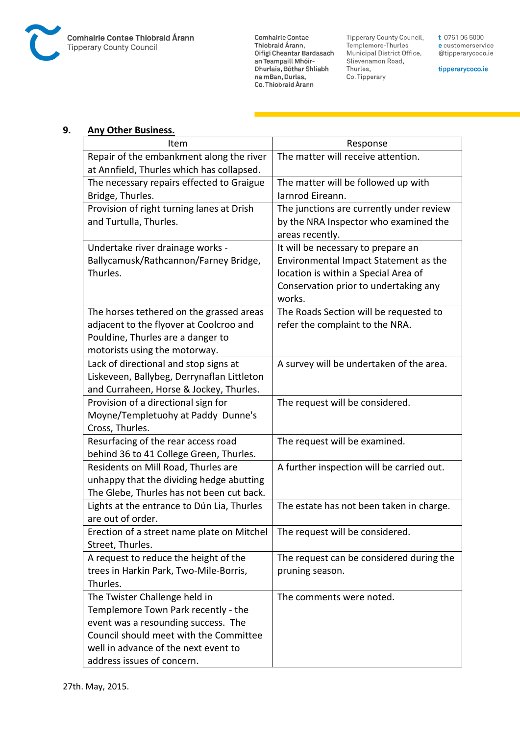

Comhairle Contae Commante Contae<br>Thiobraid Árann,<br>Oifigí Cheantar Bardasach an Teampaill Mhóir-<br>Dhurlais, Bóthar Shliabh na mBan, Durlas,<br>Co. Thiobraid Árann

Tipperary County Council,<br>Templemore-Thurles<br>Municipal District Office, Slievenamon Road, Thurles, Co. Tipperary

t 0761 06 5000 e customerservice @tipperarycoco.ie

tipperarycoco.ie

#### **9. Any Other Business.**

| Item                                       | Response                                  |
|--------------------------------------------|-------------------------------------------|
| Repair of the embankment along the river   | The matter will receive attention.        |
| at Annfield, Thurles which has collapsed.  |                                           |
| The necessary repairs effected to Graigue  | The matter will be followed up with       |
| Bridge, Thurles.                           | Iarnrod Eireann.                          |
| Provision of right turning lanes at Drish  | The junctions are currently under review  |
| and Turtulla, Thurles.                     | by the NRA Inspector who examined the     |
|                                            | areas recently.                           |
| Undertake river drainage works -           | It will be necessary to prepare an        |
| Ballycamusk/Rathcannon/Farney Bridge,      | Environmental Impact Statement as the     |
| Thurles.                                   | location is within a Special Area of      |
|                                            | Conservation prior to undertaking any     |
|                                            | works.                                    |
| The horses tethered on the grassed areas   | The Roads Section will be requested to    |
| adjacent to the flyover at Coolcroo and    | refer the complaint to the NRA.           |
| Pouldine, Thurles are a danger to          |                                           |
| motorists using the motorway.              |                                           |
| Lack of directional and stop signs at      | A survey will be undertaken of the area.  |
| Liskeveen, Ballybeg, Derrynaflan Littleton |                                           |
| and Curraheen, Horse & Jockey, Thurles.    |                                           |
| Provision of a directional sign for        | The request will be considered.           |
| Moyne/Templetuohy at Paddy Dunne's         |                                           |
| Cross, Thurles.                            |                                           |
| Resurfacing of the rear access road        | The request will be examined.             |
| behind 36 to 41 College Green, Thurles.    |                                           |
| Residents on Mill Road, Thurles are        | A further inspection will be carried out. |
| unhappy that the dividing hedge abutting   |                                           |
| The Glebe, Thurles has not been cut back.  |                                           |
| Lights at the entrance to Dún Lia, Thurles | The estate has not been taken in charge.  |
| are out of order.                          |                                           |
| Erection of a street name plate on Mitchel | The request will be considered.           |
| Street, Thurles.                           |                                           |
| A request to reduce the height of the      | The request can be considered during the  |
| trees in Harkin Park, Two-Mile-Borris,     | pruning season.                           |
| Thurles.                                   |                                           |
| The Twister Challenge held in              | The comments were noted.                  |
| Templemore Town Park recently - the        |                                           |
| event was a resounding success. The        |                                           |
| Council should meet with the Committee     |                                           |
| well in advance of the next event to       |                                           |
| address issues of concern.                 |                                           |